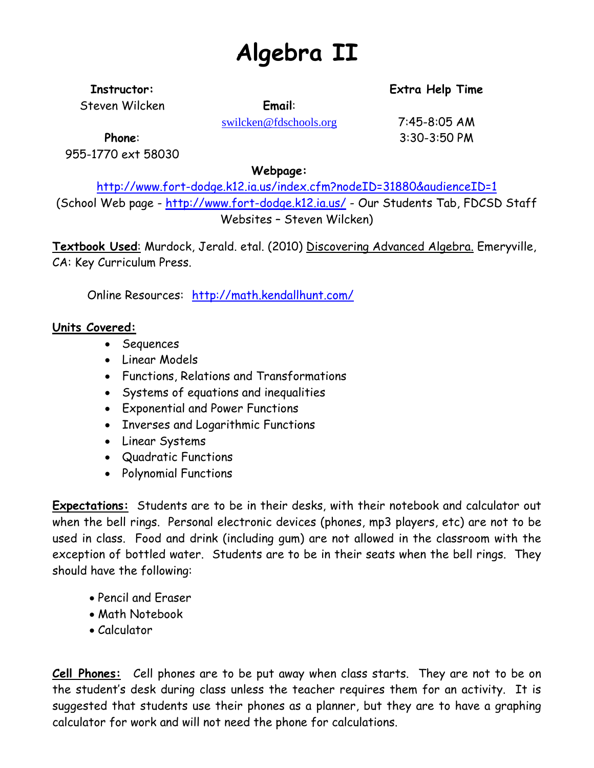# **Algebra II**

**Instructor: Extra Help Time**

Steven Wilcken **Email**:

[swilcken@fdschools.org](mailto:swilcken@fdschools.org) 7:45-8:05 AM

**Phone**: 3:30-3:50 PM

955-1770 ext 58030

**Webpage:**

<http://www.fort-dodge.k12.ia.us/index.cfm?nodeID=31880&audienceID=1> (School Web page - <http://www.fort-dodge.k12.ia.us/> - Our Students Tab, FDCSD Staff Websites – Steven Wilcken)

**Textbook Used**: Murdock, Jerald. etal. (2010) Discovering Advanced Algebra. Emeryville, CA: Key Curriculum Press.

Online Resources: <http://math.kendallhunt.com/>

### **Units Covered:**

- Sequences
- Linear Models
- Functions, Relations and Transformations
- Systems of equations and inequalities
- Exponential and Power Functions
- Inverses and Logarithmic Functions
- Linear Systems
- Quadratic Functions
- Polynomial Functions

**Expectations:** Students are to be in their desks, with their notebook and calculator out when the bell rings. Personal electronic devices (phones, mp3 players, etc) are not to be used in class. Food and drink (including gum) are not allowed in the classroom with the exception of bottled water. Students are to be in their seats when the bell rings. They should have the following:

- Pencil and Eraser
- Math Notebook
- Calculator

**Cell Phones:** Cell phones are to be put away when class starts. They are not to be on the student's desk during class unless the teacher requires them for an activity. It is suggested that students use their phones as a planner, but they are to have a graphing calculator for work and will not need the phone for calculations.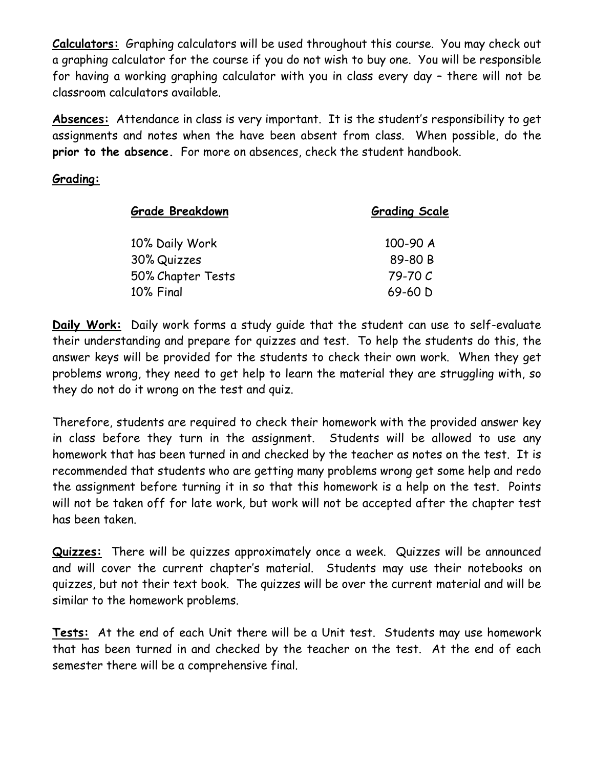**Calculators:** Graphing calculators will be used throughout this course. You may check out a graphing calculator for the course if you do not wish to buy one. You will be responsible for having a working graphing calculator with you in class every day – there will not be classroom calculators available.

**Absences:** Attendance in class is very important. It is the student's responsibility to get assignments and notes when the have been absent from class. When possible, do the **prior to the absence.** For more on absences, check the student handbook.

#### **Grading:**

| <b>Grade Breakdown</b> | <b>Grading Scale</b> |
|------------------------|----------------------|
| 10% Daily Work         | 100-90 A             |
| 30% Quizzes            | 89-80 B              |
| 50% Chapter Tests      | 79-70 C              |
| 10% Final              | 69-60 D              |

**Daily Work:** Daily work forms a study guide that the student can use to self-evaluate their understanding and prepare for quizzes and test. To help the students do this, the answer keys will be provided for the students to check their own work. When they get problems wrong, they need to get help to learn the material they are struggling with, so they do not do it wrong on the test and quiz.

Therefore, students are required to check their homework with the provided answer key in class before they turn in the assignment. Students will be allowed to use any homework that has been turned in and checked by the teacher as notes on the test. It is recommended that students who are getting many problems wrong get some help and redo the assignment before turning it in so that this homework is a help on the test. Points will not be taken off for late work, but work will not be accepted after the chapter test has been taken.

**Quizzes:** There will be quizzes approximately once a week. Quizzes will be announced and will cover the current chapter's material. Students may use their notebooks on quizzes, but not their text book. The quizzes will be over the current material and will be similar to the homework problems.

**Tests:** At the end of each Unit there will be a Unit test. Students may use homework that has been turned in and checked by the teacher on the test. At the end of each semester there will be a comprehensive final.